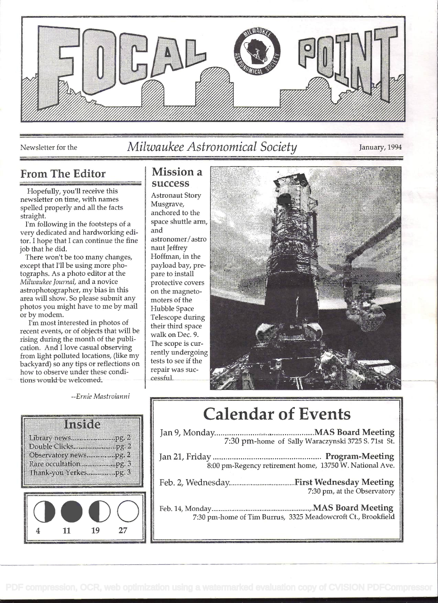

## Newsletter for the *Milwaukee Astronomical Society* January, 1994

## From The Editor | Mission a

Hopefully, you'll receive this<br>
newsletter on time, with names<br>
spelled properly and all the facts<br>
straight.<br>
I'm following in the footstens of a<br>
space shuttle arm,

I'm following in the footsteps of a space show dedicated and bardworking edivery dedicated and hardworking edi-  $\begin{bmatrix} \text{and} \\ \text{for} \end{bmatrix}$  hand to a hone that L can continue the fine tor. I hope that I can continue the fine  $\left\{\n \begin{array}{c}\n \text{astronomer,} \\
 \text{both that he did.}\n \end{array}\n\right.$ job that he did.<br>There won't be too many changes, a happen Hoffman, in the

There won't be too many changes,  $\left\{\n \begin{array}{c}\n H\text{offman, in the graph of the graph is a point of the graph.}\n \end{array}\n \right\}$ except that I'll be using more pho-<br>tographs. As a photo editor at the pare to install tographs. As a photo editor at the pare to install<br>
Milwaukee Journal, and a novice protective covers Milwaukee Journal, and a novice astrophotographer, my bias in this  $\int_{0}^{1}$  on the magnetoarea will show. So please submit any  $\parallel$  moters of the photos you might have to me by mail Hubble Space<br>or by modem.

or by modem.<br>
I'm most interested in photos of<br>
recent events, or of objects that will be<br>
rising during the month of the publi-<br>
cation. And I love casual observing<br>
from light polluted locations, (like my<br>
backyard) so a backyard) so any tips or reflections on<br>how to observe under these condi-<br>tions would be welcomed tions would be welcomed.

**Instite** 

Observatory news....................pg. 2 

--Ernie Mastroianni

19

11

27

# success



# Calendar of Events

| 7:30 pm-home of Tim Burrus, 3325 Meadowcroft Ct., Brookfield |  |
|--------------------------------------------------------------|--|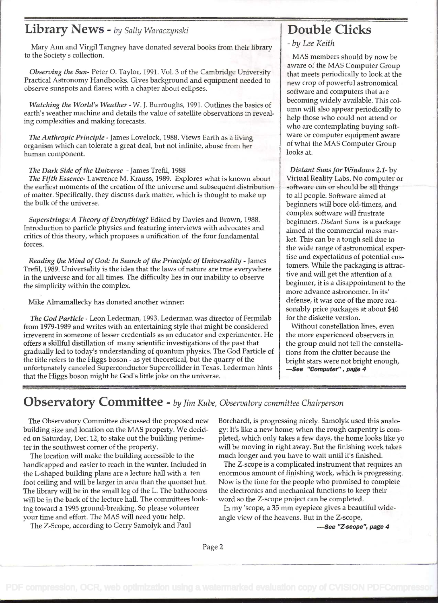### Library News - by Sally Waraczynski

Mary Ann and Virgil Tangney have donated several books from their library to the Society's collection.

Observing the Sun- Peter O. Taylor, 1991. Vol. 3 of the Cambridge University Practical Astronomy Handbooks. Gives background and equipment needed to observe sunspots and flares; with a chapter about eclipses.

Watching the World's Weather - W. J. Burroughs, 1991. Outlines the basics of earth's weather machine and details the value of satellite observations in revealing complexities and making forecasts.

The Anthropic Principle - James Lovelock, 1988. Views Earth as a living organism which can tolerate a great deal, but not infinite, abuse from her human component.

#### The Dark Side of the Universe - James Trefil, 1988

The Fifth Essence- Lawrence M. Krauss, 1989. Explores what is known about the earliest moments of the creation of the universe and subsequent distribution of matter. Specifically, they discuss dark matter, which is thought to make up the bulk of the universe.

Superstrings: A Theory of Everything? Edited by Davies and Brown, 1988. Introduction to particle physics and featuring interviews with advocates and critics of this theory, which proposes a unification of the four fundamental forces.

Reading the Mind of God: In Search of the Principle of Universality - James Trefil, 1989. Universality is the idea that the laws of nature are true everywhere in the universe and for all times. The difficulty lies in our inability to observe the simplicity within the complex.

Mike Almamallecky has donated another winner:

The God Particle - Leon Lederman, 1993. Lederman was director of Fermilab from 1979-1989 and writes with an entertaining style that might be considered irreverent in someone of lesser credentials as an educator and experimenter. He offers a skillful distillation of many scientific investigations of the past that gradually led to today's understanding of quantum physics. The God Particle of the title refers to the Higgs boson - as yet theoretical, but the quarry of the unfortunately canceled Superconductor Supercollider in Texas. Lederman hints  $\Box$  See "Computer", page 4 that the Higgs boson might be God's little joke on the universe.

# Double Clicks

- by Lee Keith

MAS members should by now be aware of the MAS Computer Group that meets periodically to look at the new crop of powerful astronomical software and computers that are becoming widely available. This column will also appear periodically to help those who could not attend or who are contemplating buying software or computer equipment aware of what the MAS Computer Group looks at.

Distant Suns for Windows 2.1- by Virtual Reality Labs. No computer or software can or should be all things to all people. Software aimed at beginners will bore old-timers, and complex software will frustrate beginners. Distant Suns is a package aimed at the commercial mass market. This can be a tough sell due to the wide range of astronomical expertise and expectations of potential customers. While the packaging is attractive and will get the attention of a beginner, it is a disappointment to the more advance astronomer. In its' defense, it was one of the more reasonably price packages at about \$40 for the diskette version.

Without constellation lines, even the more experienced observers in the group could not tell the constellations from the clutter because the bright stars were not bright enough,

### Observatory Committee - by Jim Kube, Observatory committee Chairperson

The Observatory Committee discussed the proposed new building size and location on the MAS property. We decided on Saturday, Dec. 12, to stake out the building perimeter in the southwest corner of the property.

The location will make the building accessible to the handicapped and easier to reach in the winter. Included in the L-shaped building plans are a lecture hall with a ten foot ceiling and will be larger in area than the quonset hut. The library will be in the small leg of the L. The bathrooms will be in the back of the lecture hall. The committees looking toward a 1995 ground-breaking. So please volunteer your time and effort. The MAS will need your help.

The Z-Scope, according to Gerry Samolyk and Paul

Borchardt, is progressing nicely. Samolyk used this analogy: It's like a new home; when the rough carpentry is completed, which only takes a few days, the home looks like yo will be moving in right away. But the finishing work takes much longer and you have to wait until it's finished.

The Z-scope is a complicated instrument that requires an enormous amount of finishing work, which is progressing. Now is the time for the people who promised to complete the electronics and mechanical functions to keep their word so the Z-scope project can be completed.

In my 'scope, a 35 mm eyepiece gives a beautiful wideangle view of the heavens. But in the Z-scope,

-See "Z-scope", page 4